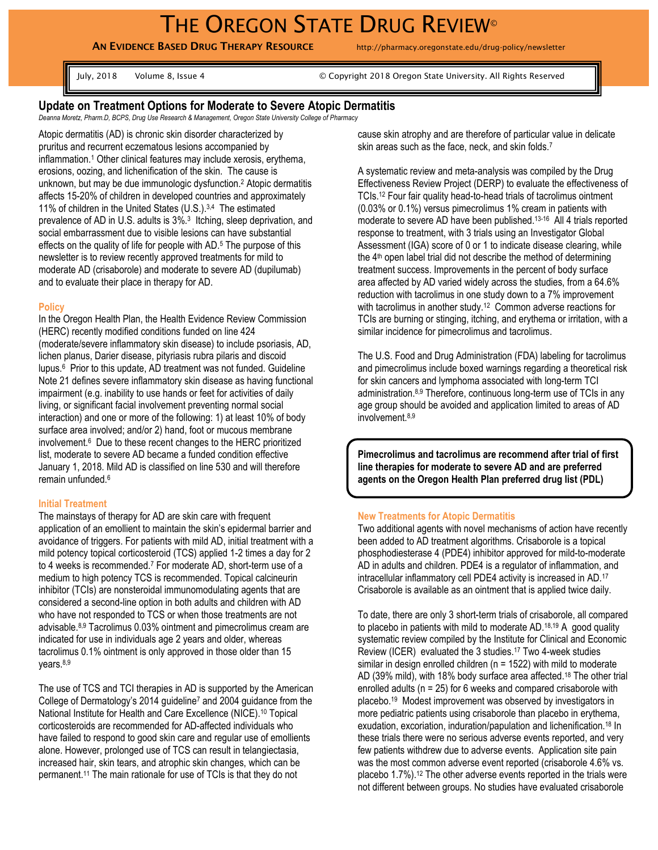**AN EVIDENCE BASED DRUG THERAPY RESOURCE** http://pharmacy.oregonstate.edu/drug-policy/newsletter

July, 2018 Volume 8, Issue 4 © Copyright 2018 Oregon State University. All Rights Reserved

# **Update on Treatment Options for Moderate to Severe Atopic Dermatitis**

*Deanna Moretz, Pharm.D, BCPS, Drug Use Research & Management, Oregon State University College of Pharmacy*

Atopic dermatitis (AD) is chronic skin disorder characterized by pruritus and recurrent eczematous lesions accompanied by inflammation.<sup>1</sup> Other clinical features may include xerosis, erythema, erosions, oozing, and lichenification of the skin. The cause is unknown, but may be due immunologic dysfunction.<sup>2</sup> Atopic dermatitis affects 15-20% of children in developed countries and approximately 11% of children in the United States (U.S.).3,4 The estimated prevalence of AD in U.S. adults is 3%.<sup>3</sup> Itching, sleep deprivation, and social embarrassment due to visible lesions can have substantial effects on the quality of life for people with AD.<sup>5</sup> The purpose of this newsletter is to review recently approved treatments for mild to moderate AD (crisaborole) and moderate to severe AD (dupilumab) and to evaluate their place in therapy for AD.

# **Policy**

In the Oregon Health Plan, the Health Evidence Review Commission (HERC) recently modified conditions funded on line 424 (moderate/severe inflammatory skin disease) to include psoriasis, AD, lichen planus, Darier disease, pityriasis rubra pilaris and discoid lupus.<sup>6</sup> Prior to this update, AD treatment was not funded. Guideline Note 21 defines severe inflammatory skin disease as having functional impairment (e.g. inability to use hands or feet for activities of daily living, or significant facial involvement preventing normal social interaction) and one or more of the following: 1) at least 10% of body surface area involved; and/or 2) hand, foot or mucous membrane involvement.<sup>6</sup> Due to these recent changes to the HERC prioritized list, moderate to severe AD became a funded condition effective January 1, 2018. Mild AD is classified on line 530 and will therefore remain unfunded.<sup>6</sup>

# **Initial Treatment**

The mainstays of therapy for AD are skin care with frequent application of an emollient to maintain the skin's epidermal barrier and avoidance of triggers. For patients with mild AD, initial treatment with a mild potency topical corticosteroid (TCS) applied 1-2 times a day for 2 to 4 weeks is recommended.<sup>7</sup> For moderate AD, short-term use of a medium to high potency TCS is recommended. Topical calcineurin inhibitor (TCIs) are nonsteroidal immunomodulating agents that are considered a second-line option in both adults and children with AD who have not responded to TCS or when those treatments are not advisable.8,9 Tacrolimus 0.03% ointment and pimecrolimus cream are indicated for use in individuals age 2 years and older, whereas tacrolimus 0.1% ointment is only approved in those older than 15 years.8,9

The use of TCS and TCI therapies in AD is supported by the American College of Dermatology's 2014 guideline<sup>7</sup> and 2004 guidance from the National Institute for Health and Care Excellence (NICE).<sup>10</sup> Topical corticosteroids are recommended for AD-affected individuals who have failed to respond to good skin care and regular use of emollients alone. However, prolonged use of TCS can result in telangiectasia, increased hair, skin tears, and atrophic skin changes, which can be permanent.<sup>11</sup> The main rationale for use of TCIs is that they do not

cause skin atrophy and are therefore of particular value in delicate skin areas such as the face, neck, and skin folds.<sup>7</sup>

A systematic review and meta-analysis was compiled by the Drug Effectiveness Review Project (DERP) to evaluate the effectiveness of TCIs. <sup>12</sup> Four fair quality head-to-head trials of tacrolimus ointment (0.03% or 0.1%) versus pimecrolimus 1% cream in patients with moderate to severe AD have been published. 13-16 All 4 trials reported response to treatment, with 3 trials using an Investigator Global Assessment (IGA) score of 0 or 1 to indicate disease clearing, while the 4th open label trial did not describe the method of determining treatment success. Improvements in the percent of body surface area affected by AD varied widely across the studies, from a 64.6% reduction with tacrolimus in one study down to a 7% improvement with tacrolimus in another study.<sup>12</sup> Common adverse reactions for TCIs are burning or stinging, itching, and erythema or irritation, with a similar incidence for pimecrolimus and tacrolimus.

The U.S. Food and Drug Administration (FDA) labeling for tacrolimus and pimecrolimus include boxed warnings regarding a theoretical risk for skin cancers and lymphoma associated with long-term TCI administration.8,9 Therefore, continuous long-term use of TCIs in any age group should be avoided and application limited to areas of AD involvement.8,9

**Pimecrolimus and tacrolimus are recommend after trial of first line therapies for moderate to severe AD and are preferred agents on the Oregon Health Plan preferred drug list (PDL)**

#### **New Treatments for Atopic Dermatitis**

Two additional agents with novel mechanisms of action have recently been added to AD treatment algorithms. Crisaborole is a topical phosphodiesterase 4 (PDE4) inhibitor approved for mild-to-moderate AD in adults and children. PDE4 is a regulator of inflammation, and intracellular inflammatory cell PDE4 activity is increased in AD.<sup>17</sup> Crisaborole is available as an ointment that is applied twice daily.

To date, there are only 3 short-term trials of crisaborole, all compared to placebo in patients with mild to moderate AD.18,19 A good quality systematic review compiled by the Institute for Clinical and Economic Review (ICER) evaluated the 3 studies.<sup>17</sup> Two 4-week studies similar in design enrolled children ( $n = 1522$ ) with mild to moderate AD (39% mild), with 18% body surface area affected.<sup>18</sup> The other trial enrolled adults (n = 25) for 6 weeks and compared crisaborole with placebo.<sup>19</sup> Modest improvement was observed by investigators in more pediatric patients using crisaborole than placebo in erythema, exudation, excoriation, induration/papulation and lichenification. <sup>18</sup> In these trials there were no serious adverse events reported, and very few patients withdrew due to adverse events. Application site pain was the most common adverse event reported (crisaborole 4.6% vs. placebo 1.7%).<sup>12</sup> The other adverse events reported in the trials were not different between groups. No studies have evaluated crisaborole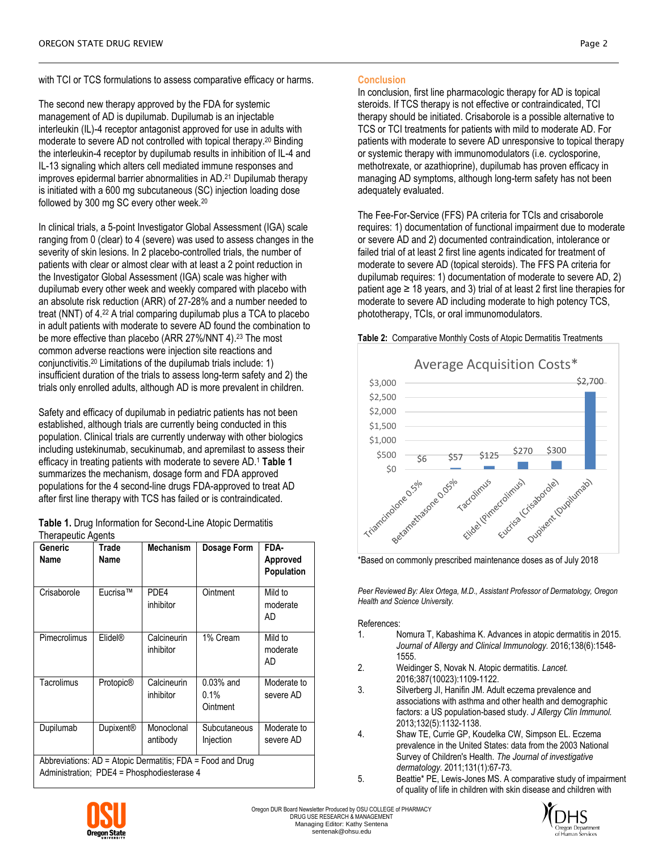The second new therapy approved by the FDA for systemic management of AD is dupilumab. Dupilumab is an injectable interleukin (IL)-4 receptor antagonist approved for use in adults with moderate to severe AD not controlled with topical therapy.<sup>20</sup> Binding the interleukin-4 receptor by dupilumab results in inhibition of IL-4 and IL-13 signaling which alters cell mediated immune responses and improves epidermal barrier abnormalities in AD.<sup>21</sup> Dupilumab therapy is initiated with a 600 mg subcutaneous (SC) injection loading dose followed by 300 mg SC every other week.<sup>20</sup>

In clinical trials, a 5-point Investigator Global Assessment (IGA) scale ranging from 0 (clear) to 4 (severe) was used to assess changes in the severity of skin lesions. In 2 placebo-controlled trials, the number of patients with clear or almost clear with at least a 2 point reduction in the Investigator Global Assessment (IGA) scale was higher with dupilumab every other week and weekly compared with placebo with an absolute risk reduction (ARR) of 27-28% and a number needed to treat (NNT) of 4.<sup>22</sup> A trial comparing dupilumab plus a TCA to placebo in adult patients with moderate to severe AD found the combination to be more effective than placebo (ARR 27%/NNT 4). <sup>23</sup> The most common adverse reactions were injection site reactions and conjunctivitis.<sup>20</sup> Limitations of the dupilumab trials include: 1) insufficient duration of the trials to assess long-term safety and 2) the trials only enrolled adults, although AD is more prevalent in children.

Safety and efficacy of dupilumab in pediatric patients has not been established, although trials are currently being conducted in this population. Clinical trials are currently underway with other biologics including ustekinumab, secukinumab, and apremilast to assess their efficacy in treating patients with moderate to severe AD.<sup>1</sup> **Table 1** summarizes the mechanism, dosage form and FDA approved populations for the 4 second-line drugs FDA-approved to treat AD after first line therapy with TCS has failed or is contraindicated.

|                    | Table 1. Drug Information for Second-Line Atopic Dermatitis |
|--------------------|-------------------------------------------------------------|
| Therapeutic Agents |                                                             |

| Generic<br>Name                                                                                          | Trade<br>Name         | <b>Mechanism</b>         | Dosage Form                        | FDA-<br>Approved<br><b>Population</b> |  |
|----------------------------------------------------------------------------------------------------------|-----------------------|--------------------------|------------------------------------|---------------------------------------|--|
| Crisaborole                                                                                              | Eucrisa™              | PDE4<br>inhibitor        | Ointment                           | Mild to<br>moderate<br>AD             |  |
| Pimecrolimus                                                                                             | Elidel®               | Calcineurin<br>inhibitor | 1% Cream                           | Mild to<br>moderate<br>AD             |  |
| Tacrolimus                                                                                               | Protopic <sup>®</sup> | Calcineurin<br>inhibitor | $0.03%$ and<br>$0.1\%$<br>Ointment | Moderate to<br>severe AD              |  |
| Dupilumab                                                                                                | Dupixent <sup>®</sup> | Monoclonal<br>antibody   | Subcutaneous<br>Injection          | Moderate to<br>severe AD              |  |
| Abbreviations: AD = Atopic Dermatitis; FDA = Food and Drug<br>Administration; PDE4 = Phosphodiesterase 4 |                       |                          |                                    |                                       |  |

# **Conclusion**

In conclusion, first line pharmacologic therapy for AD is topical steroids. If TCS therapy is not effective or contraindicated, TCI therapy should be initiated. Crisaborole is a possible alternative to TCS or TCI treatments for patients with mild to moderate AD. For patients with moderate to severe AD unresponsive to topical therapy or systemic therapy with immunomodulators (i.e. cyclosporine, methotrexate, or azathioprine), dupilumab has proven efficacy in managing AD symptoms, although long-term safety has not been adequately evaluated.

The Fee-For-Service (FFS) PA criteria for TCIs and crisaborole requires: 1) documentation of functional impairment due to moderate or severe AD and 2) documented contraindication, intolerance or failed trial of at least 2 first line agents indicated for treatment of moderate to severe AD (topical steroids). The FFS PA criteria for dupilumab requires: 1) documentation of moderate to severe AD, 2) patient age  $\geq$  18 years, and 3) trial of at least 2 first line therapies for moderate to severe AD including moderate to high potency TCS, phototherapy, TCIs, or oral immunomodulators.



**Table 2:** Comparative Monthly Costs of Atopic Dermatitis Treatments

\*Based on commonly prescribed maintenance doses as of July 2018

*Peer Reviewed By: Alex Ortega, M.D., Assistant Professor of Dermatology, Oregon Health and Science University.*

### References:

- 1. Nomura T, Kabashima K. Advances in atopic dermatitis in 2015. *Journal of Allergy and Clinical Immunology.* 2016;138(6):1548- 1555.
- 2. Weidinger S, Novak N. Atopic dermatitis. *Lancet.*  2016;387(10023):1109-1122.
- 3. Silverberg JI, Hanifin JM. Adult eczema prevalence and associations with asthma and other health and demographic factors: a US population-based study. *J Allergy Clin Immunol.*  2013;132(5):1132-1138.
- 4. Shaw TE, Currie GP, Koudelka CW, Simpson EL. Eczema prevalence in the United States: data from the 2003 National Survey of Children's Health. *The Journal of investigative dermatology.* 2011;131(1):67-73.
- 5. Beattie\* PE, Lewis-Jones MS. A comparative study of impairment of quality of life in children with skin disease and children with